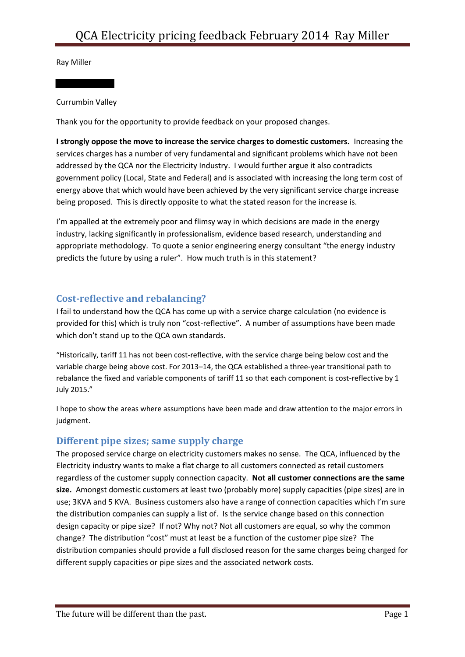Ray Miller

#### Currumbin Valley

Thank you for the opportunity to provide feedback on your proposed changes.

**I strongly oppose the move to increase the service charges to domestic customers.** Increasing the services charges has a number of very fundamental and significant problems which have not been addressed by the QCA nor the Electricity Industry. I would further argue it also contradicts government policy (Local, State and Federal) and is associated with increasing the long term cost of energy above that which would have been achieved by the very significant service charge increase being proposed. This is directly opposite to what the stated reason for the increase is.

I'm appalled at the extremely poor and flimsy way in which decisions are made in the energy industry, lacking significantly in professionalism, evidence based research, understanding and appropriate methodology. To quote a senior engineering energy consultant "the energy industry predicts the future by using a ruler". How much truth is in this statement?

## **Cost-reflective and rebalancing?**

I fail to understand how the QCA has come up with a service charge calculation (no evidence is provided for this) which is truly non "cost-reflective". A number of assumptions have been made which don't stand up to the QCA own standards.

"Historically, tariff 11 has not been cost-reflective, with the service charge being below cost and the variable charge being above cost. For 2013–14, the QCA established a three-year transitional path to rebalance the fixed and variable components of tariff 11 so that each component is cost-reflective by 1 July 2015."

I hope to show the areas where assumptions have been made and draw attention to the major errors in judgment.

## **Different pipe sizes; same supply charge**

The proposed service charge on electricity customers makes no sense. The QCA, influenced by the Electricity industry wants to make a flat charge to all customers connected as retail customers regardless of the customer supply connection capacity. **Not all customer connections are the same size.** Amongst domestic customers at least two (probably more) supply capacities (pipe sizes) are in use; 3KVA and 5 KVA. Business customers also have a range of connection capacities which I'm sure the distribution companies can supply a list of. Is the service change based on this connection design capacity or pipe size? If not? Why not? Not all customers are equal, so why the common change? The distribution "cost" must at least be a function of the customer pipe size? The distribution companies should provide a full disclosed reason for the same charges being charged for different supply capacities or pipe sizes and the associated network costs.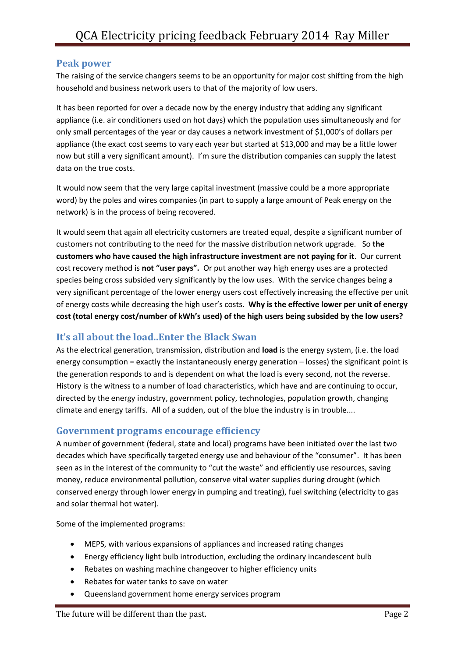#### **Peak power**

The raising of the service changers seems to be an opportunity for major cost shifting from the high household and business network users to that of the majority of low users.

It has been reported for over a decade now by the energy industry that adding any significant appliance (i.e. air conditioners used on hot days) which the population uses simultaneously and for only small percentages of the year or day causes a network investment of \$1,000's of dollars per appliance (the exact cost seems to vary each year but started at \$13,000 and may be a little lower now but still a very significant amount). I'm sure the distribution companies can supply the latest data on the true costs.

It would now seem that the very large capital investment (massive could be a more appropriate word) by the poles and wires companies (in part to supply a large amount of Peak energy on the network) is in the process of being recovered.

It would seem that again all electricity customers are treated equal, despite a significant number of customers not contributing to the need for the massive distribution network upgrade. So **the customers who have caused the high infrastructure investment are not paying for it**. Our current cost recovery method is **not "user pays".** Or put another way high energy uses are a protected species being cross subsided very significantly by the low uses. With the service changes being a very significant percentage of the lower energy users cost effectively increasing the effective per unit of energy costs while decreasing the high user's costs. **Why is the effective lower per unit of energy cost (total energy cost/number of kWh's used) of the high users being subsided by the low users?**

# **It's all about the load..Enter the Black Swan**

As the electrical generation, transmission, distribution and **load** is the energy system, (i.e. the load energy consumption = exactly the instantaneously energy generation – losses) the significant point is the generation responds to and is dependent on what the load is every second, not the reverse. History is the witness to a number of load characteristics, which have and are continuing to occur, directed by the energy industry, government policy, technologies, population growth, changing climate and energy tariffs. All of a sudden, out of the blue the industry is in trouble....

## **Government programs encourage efficiency**

A number of government (federal, state and local) programs have been initiated over the last two decades which have specifically targeted energy use and behaviour of the "consumer". It has been seen as in the interest of the community to "cut the waste" and efficiently use resources, saving money, reduce environmental pollution, conserve vital water supplies during drought (which conserved energy through lower energy in pumping and treating), fuel switching (electricity to gas and solar thermal hot water).

Some of the implemented programs:

- MEPS, with various expansions of appliances and increased rating changes
- Energy efficiency light bulb introduction, excluding the ordinary incandescent bulb
- Rebates on washing machine changeover to higher efficiency units
- Rebates for water tanks to save on water
- Queensland government home energy services program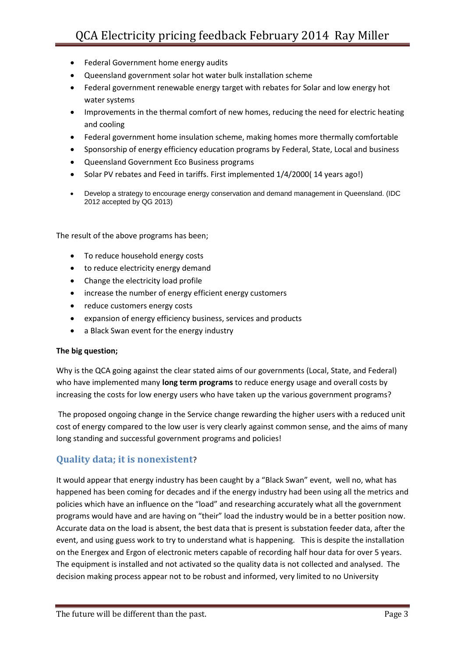- Federal Government home energy audits
- Queensland government solar hot water bulk installation scheme
- Federal government renewable energy target with rebates for Solar and low energy hot water systems
- Improvements in the thermal comfort of new homes, reducing the need for electric heating and cooling
- Federal government home insulation scheme, making homes more thermally comfortable
- Sponsorship of energy efficiency education programs by Federal, State, Local and business
- Queensland Government Eco Business programs
- Solar PV rebates and Feed in tariffs. First implemented 1/4/2000(14 years ago!)
- Develop a strategy to encourage energy conservation and demand management in Queensland. (IDC 2012 accepted by QG 2013)

The result of the above programs has been;

- To reduce household energy costs
- to reduce electricity energy demand
- Change the electricity load profile
- increase the number of energy efficient energy customers
- reduce customers energy costs
- expansion of energy efficiency business, services and products
- a Black Swan event for the energy industry

#### **The big question;**

Why is the QCA going against the clear stated aims of our governments (Local, State, and Federal) who have implemented many **long term programs** to reduce energy usage and overall costs by increasing the costs for low energy users who have taken up the various government programs?

The proposed ongoing change in the Service change rewarding the higher users with a reduced unit cost of energy compared to the low user is very clearly against common sense, and the aims of many long standing and successful government programs and policies!

## **Quality data; it is nonexistent**?

It would appear that energy industry has been caught by a "Black Swan" event, well no, what has happened has been coming for decades and if the energy industry had been using all the metrics and policies which have an influence on the "load" and researching accurately what all the government programs would have and are having on "their" load the industry would be in a better position now. Accurate data on the load is absent, the best data that is present is substation feeder data, after the event, and using guess work to try to understand what is happening. This is despite the installation on the Energex and Ergon of electronic meters capable of recording half hour data for over 5 years. The equipment is installed and not activated so the quality data is not collected and analysed. The decision making process appear not to be robust and informed, very limited to no University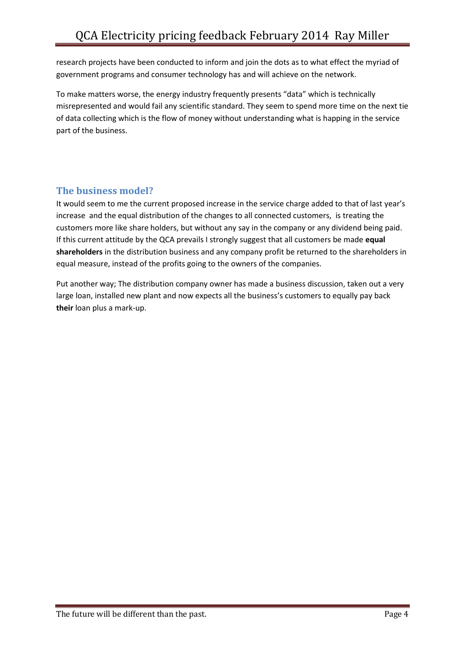research projects have been conducted to inform and join the dots as to what effect the myriad of government programs and consumer technology has and will achieve on the network.

To make matters worse, the energy industry frequently presents "data" which is technically misrepresented and would fail any scientific standard. They seem to spend more time on the next tie of data collecting which is the flow of money without understanding what is happing in the service part of the business.

# **The business model?**

It would seem to me the current proposed increase in the service charge added to that of last year's increase and the equal distribution of the changes to all connected customers, is treating the customers more like share holders, but without any say in the company or any dividend being paid. If this current attitude by the QCA prevails I strongly suggest that all customers be made **equal shareholders** in the distribution business and any company profit be returned to the shareholders in equal measure, instead of the profits going to the owners of the companies.

Put another way; The distribution company owner has made a business discussion, taken out a very large loan, installed new plant and now expects all the business's customers to equally pay back **their** loan plus a mark-up.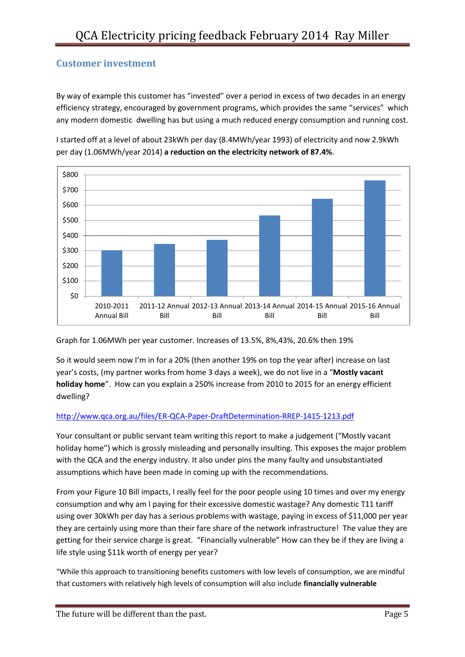## **Customer investment**

By way of example this customer has "invested" over a period in excess of two decades in an energy efficiency strategy, encouraged by government programs, which provides the same "services" which any modern domestic dwelling has but using a much reduced energy consumption and running cost.





Graph for 1.06MWh per year customer. Increases of 13.5%, 8%,43%, 20.6% then 19%

So it would seem now I'm in for a 20% (then another 19% on top the year after) increase on last year's costs, (my partner works from home 3 days a week), we do not live in a "**Mostly vacant holiday home**". How can you explain a 250% increase from 2010 to 2015 for an energy efficient dwelling?

#### <http://www.qca.org.au/files/ER-QCA-Paper-DraftDetermination-RREP-1415-1213.pdf>

Your consultant or public servant team writing this report to make a judgement ("Mostly vacant holiday home") which is grossly misleading and personally insulting. This exposes the major problem with the QCA and the energy industry. It also under pins the many faulty and unsubstantiated assumptions which have been made in coming up with the recommendations.

From your Figure 10 Bill impacts, I really feel for the poor people using 10 times and over my energy consumption and why am I paying for their excessive domestic wastage? Any domestic T11 tariff using over 30kWh per day has a serious problems with wastage, paying in excess of \$11,000 per year they are certainly using more than their fare share of the network infrastructure! The value they are getting for their service charge is great. "Financially vulnerable" How can they be if they are living a life style using \$11k worth of energy per year?

"While this approach to transitioning benefits customers with low levels of consumption, we are mindful that customers with relatively high levels of consumption will also include **financially vulnerable**